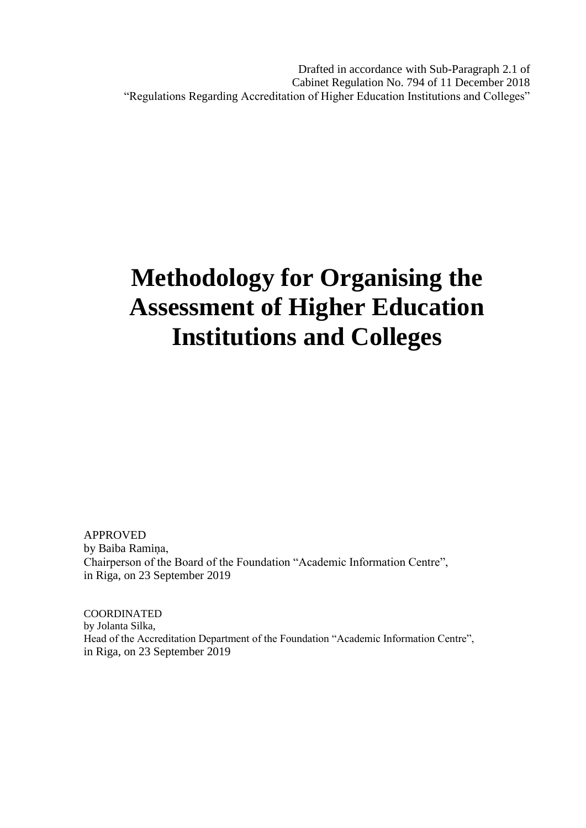Drafted in accordance with Sub-Paragraph 2.1 of Cabinet Regulation No. 794 of 11 December 2018 "Regulations Regarding Accreditation of Higher Education Institutions and Colleges"

# **Methodology for Organising the Assessment of Higher Education Institutions and Colleges**

APPROVED by Baiba Ramiņa, Chairperson of the Board of the Foundation "Academic Information Centre", in Riga, on 23 September 2019

COORDINATED by Jolanta Silka, Head of the Accreditation Department of the Foundation "Academic Information Centre", in Riga, on 23 September 2019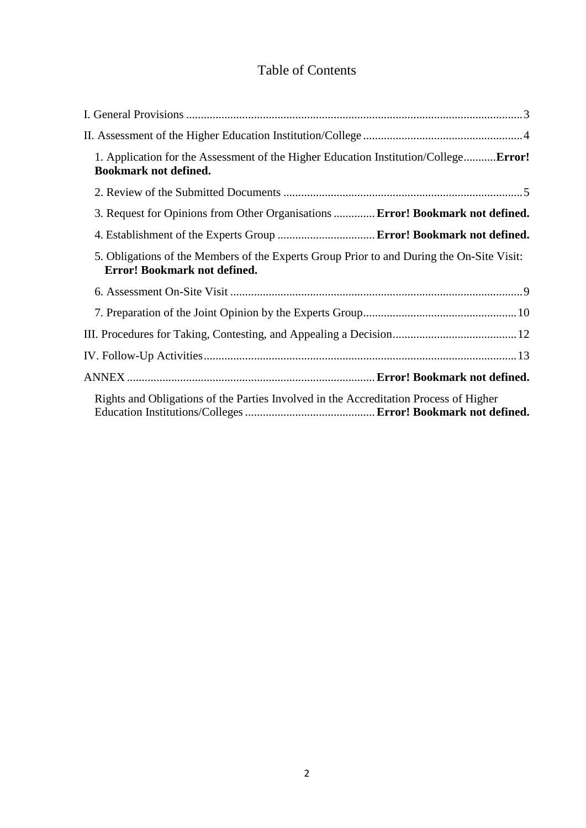# Table of Contents

| 1. Application for the Assessment of the Higher Education Institution/CollegeError!<br><b>Bookmark not defined.</b>       |
|---------------------------------------------------------------------------------------------------------------------------|
|                                                                                                                           |
| 3. Request for Opinions from Other Organisations  Error! Bookmark not defined.                                            |
|                                                                                                                           |
| 5. Obligations of the Members of the Experts Group Prior to and During the On-Site Visit:<br>Error! Bookmark not defined. |
|                                                                                                                           |
|                                                                                                                           |
|                                                                                                                           |
|                                                                                                                           |
|                                                                                                                           |
| Rights and Obligations of the Parties Involved in the Accreditation Process of Higher                                     |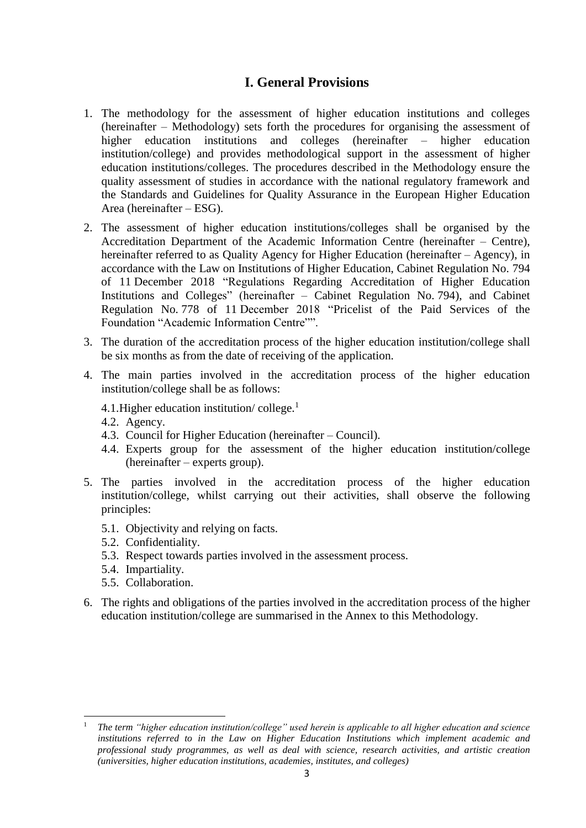# **I. General Provisions**

- <span id="page-2-0"></span>1. The methodology for the assessment of higher education institutions and colleges (hereinafter – Methodology) sets forth the procedures for organising the assessment of higher education institutions and colleges (hereinafter – higher education institution/college) and provides methodological support in the assessment of higher education institutions/colleges. The procedures described in the Methodology ensure the quality assessment of studies in accordance with the national regulatory framework and the Standards and Guidelines for Quality Assurance in the European Higher Education Area (hereinafter – ESG).
- 2. The assessment of higher education institutions/colleges shall be organised by the Accreditation Department of the Academic Information Centre (hereinafter – Centre), hereinafter referred to as Quality Agency for Higher Education (hereinafter – Agency), in accordance with the Law on Institutions of Higher Education, Cabinet Regulation No. 794 of 11 December 2018 "Regulations Regarding Accreditation of Higher Education Institutions and Colleges" (hereinafter – Cabinet Regulation No. 794), and Cabinet Regulation No. 778 of 11 December 2018 "Pricelist of the Paid Services of the Foundation "Academic Information Centre"".
- 3. The duration of the accreditation process of the higher education institution/college shall be six months as from the date of receiving of the application.
- 4. The main parties involved in the accreditation process of the higher education institution/college shall be as follows:
	- 4.1. Higher education institution/college.<sup>1</sup>
	- 4.2. Agency.
	- 4.3. Council for Higher Education (hereinafter Council).
	- 4.4. Experts group for the assessment of the higher education institution/college (hereinafter – experts group).
- 5. The parties involved in the accreditation process of the higher education institution/college, whilst carrying out their activities, shall observe the following principles:
	- 5.1. Objectivity and relying on facts.
	- 5.2. Confidentiality.
	- 5.3. Respect towards parties involved in the assessment process.
	- 5.4. Impartiality.

1

- 5.5. Collaboration.
- 6. The rights and obligations of the parties involved in the accreditation process of the higher education institution/college are summarised in the Annex to this Methodology.

<sup>1</sup> *The term "higher education institution/college" used herein is applicable to all higher education and science institutions referred to in the Law on Higher Education Institutions which implement academic and professional study programmes, as well as deal with science, research activities, and artistic creation (universities, higher education institutions, academies, institutes, and colleges)*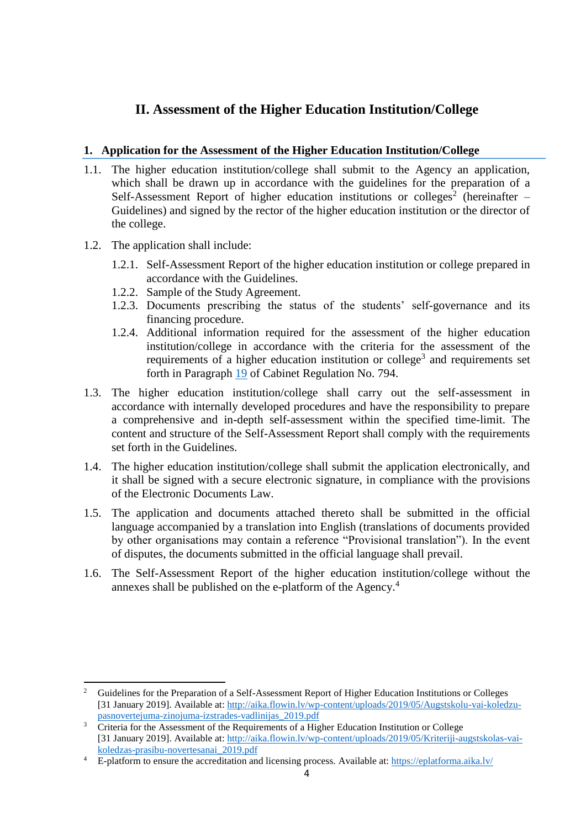# **II. Assessment of the Higher Education Institution/College**

#### <span id="page-3-0"></span>**1. Application for the Assessment of the Higher Education Institution/College**

- 1.1. The higher education institution/college shall submit to the Agency an application, which shall be drawn up in accordance with the guidelines for the preparation of a Self-Assessment Report of higher education institutions or colleges<sup>2</sup> (hereinafter  $-$ Guidelines) and signed by the rector of the higher education institution or the director of the college.
- 1.2. The application shall include:
	- 1.2.1. Self-Assessment Report of the higher education institution or college prepared in accordance with the Guidelines.
	- 1.2.2. Sample of the Study Agreement.
	- 1.2.3. Documents prescribing the status of the students' self-governance and its financing procedure.
	- 1.2.4. Additional information required for the assessment of the higher education institution/college in accordance with the criteria for the assessment of the requirements of a higher education institution or college<sup>3</sup> and requirements set forth in Paragraph [19](https://likumi.lv/ta/id/303892#p19) of Cabinet Regulation No. 794.
- 1.3. The higher education institution/college shall carry out the self-assessment in accordance with internally developed procedures and have the responsibility to prepare a comprehensive and in-depth self-assessment within the specified time-limit. The content and structure of the Self-Assessment Report shall comply with the requirements set forth in the Guidelines.
- 1.4. The higher education institution/college shall submit the application electronically, and it shall be signed with a secure electronic signature, in compliance with the provisions of the Electronic Documents Law.
- 1.5. The application and documents attached thereto shall be submitted in the official language accompanied by a translation into English (translations of documents provided by other organisations may contain a reference "Provisional translation"). In the event of disputes, the documents submitted in the official language shall prevail.
- 1.6. The Self-Assessment Report of the higher education institution/college without the annexes shall be published on the e-platform of the Agency.<sup>4</sup>

 $\overline{a}$ <sup>2</sup> Guidelines for the Preparation of a Self-Assessment Report of Higher Education Institutions or Colleges [31 January 2019]. Available at: [http://aika.flowin.lv/wp-content/uploads/2019/05/Augstskolu-vai-koledzu](http://aika.flowin.lv/wp-content/uploads/2019/05/Augstskolu-vai-koledzu-pasnovertejuma-zinojuma-izstrades-vadlinijas_2019.pdf)[pasnovertejuma-zinojuma-izstrades-vadlinijas\\_2019.pdf](http://aika.flowin.lv/wp-content/uploads/2019/05/Augstskolu-vai-koledzu-pasnovertejuma-zinojuma-izstrades-vadlinijas_2019.pdf)

<sup>&</sup>lt;sup>3</sup> Criteria for the Assessment of the Requirements of a Higher Education Institution or College [31 January 2019]. Available at: [http://aika.flowin.lv/wp-content/uploads/2019/05/Kriteriji-augstskolas-vai](http://aika.flowin.lv/wp-content/uploads/2019/05/Kriteriji-augstskolas-vai-koledzas-prasibu-novertesanai_2019.pdf)[koledzas-prasibu-novertesanai\\_2019.pdf](http://aika.flowin.lv/wp-content/uploads/2019/05/Kriteriji-augstskolas-vai-koledzas-prasibu-novertesanai_2019.pdf)

<sup>&</sup>lt;sup>4</sup> E-platform to ensure the accreditation and licensing process. Available at: <https://eplatforma.aika.lv/>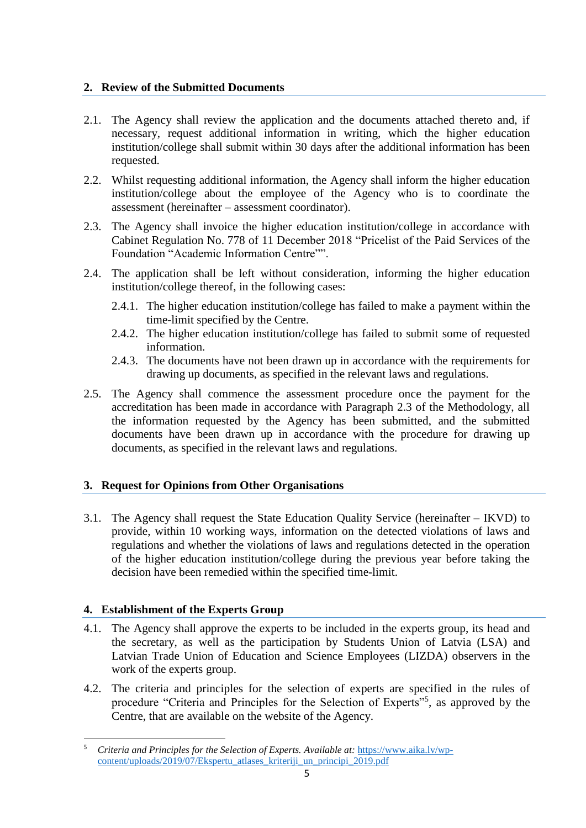#### **2. Review of the Submitted Documents**

- 2.1. The Agency shall review the application and the documents attached thereto and, if necessary, request additional information in writing, which the higher education institution/college shall submit within 30 days after the additional information has been requested.
- 2.2. Whilst requesting additional information, the Agency shall inform the higher education institution/college about the employee of the Agency who is to coordinate the assessment (hereinafter – assessment coordinator).
- 2.3. The Agency shall invoice the higher education institution/college in accordance with Cabinet Regulation No. 778 of 11 December 2018 "Pricelist of the Paid Services of the Foundation "Academic Information Centre"".
- 2.4. The application shall be left without consideration, informing the higher education institution/college thereof, in the following cases:
	- 2.4.1. The higher education institution/college has failed to make a payment within the time-limit specified by the Centre.
	- 2.4.2. The higher education institution/college has failed to submit some of requested information.
	- 2.4.3. The documents have not been drawn up in accordance with the requirements for drawing up documents, as specified in the relevant laws and regulations.
- 2.5. The Agency shall commence the assessment procedure once the payment for the accreditation has been made in accordance with Paragraph 2.3 of the Methodology, all the information requested by the Agency has been submitted, and the submitted documents have been drawn up in accordance with the procedure for drawing up documents, as specified in the relevant laws and regulations.

## **3. Request for Opinions from Other Organisations**

3.1. The Agency shall request the State Education Quality Service (hereinafter – IKVD) to provide, within 10 working ways, information on the detected violations of laws and regulations and whether the violations of laws and regulations detected in the operation of the higher education institution/college during the previous year before taking the decision have been remedied within the specified time-limit.

## **4. Establishment of the Experts Group**

- 4.1. The Agency shall approve the experts to be included in the experts group, its head and the secretary, as well as the participation by Students Union of Latvia (LSA) and Latvian Trade Union of Education and Science Employees (LIZDA) observers in the work of the experts group.
- 4.2. The criteria and principles for the selection of experts are specified in the rules of procedure "Criteria and Principles for the Selection of Experts"<sup>5</sup>, as approved by the Centre, that are available on the website of the Agency.

**<sup>.</sup>** <sup>5</sup> *Criteria and Principles for the Selection of Experts. Available at:* [https://www.aika.lv/wp](https://www.aika.lv/wp-content/uploads/2019/07/Ekspertu_atlases_kriteriji_un_principi_2019.pdf)[content/uploads/2019/07/Ekspertu\\_atlases\\_kriteriji\\_un\\_principi\\_2019.pdf](https://www.aika.lv/wp-content/uploads/2019/07/Ekspertu_atlases_kriteriji_un_principi_2019.pdf)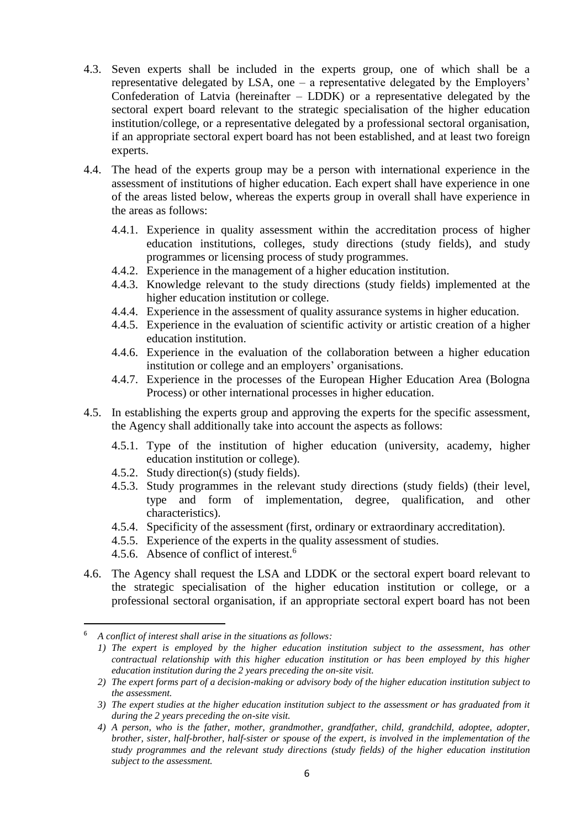- 4.3. Seven experts shall be included in the experts group, one of which shall be a representative delegated by LSA, one – a representative delegated by the Employers' Confederation of Latvia (hereinafter – LDDK) or a representative delegated by the sectoral expert board relevant to the strategic specialisation of the higher education institution/college, or a representative delegated by a professional sectoral organisation, if an appropriate sectoral expert board has not been established, and at least two foreign experts.
- 4.4. The head of the experts group may be a person with international experience in the assessment of institutions of higher education. Each expert shall have experience in one of the areas listed below, whereas the experts group in overall shall have experience in the areas as follows:
	- 4.4.1. Experience in quality assessment within the accreditation process of higher education institutions, colleges, study directions (study fields), and study programmes or licensing process of study programmes.
	- 4.4.2. Experience in the management of a higher education institution.
	- 4.4.3. Knowledge relevant to the study directions (study fields) implemented at the higher education institution or college.
	- 4.4.4. Experience in the assessment of quality assurance systems in higher education.
	- 4.4.5. Experience in the evaluation of scientific activity or artistic creation of a higher education institution.
	- 4.4.6. Experience in the evaluation of the collaboration between a higher education institution or college and an employers' organisations.
	- 4.4.7. Experience in the processes of the European Higher Education Area (Bologna Process) or other international processes in higher education.
- 4.5. In establishing the experts group and approving the experts for the specific assessment, the Agency shall additionally take into account the aspects as follows:
	- 4.5.1. Type of the institution of higher education (university, academy, higher education institution or college).
	- 4.5.2. Study direction(s) (study fields).
	- 4.5.3. Study programmes in the relevant study directions (study fields) (their level, type and form of implementation, degree, qualification, and other characteristics).
	- 4.5.4. Specificity of the assessment (first, ordinary or extraordinary accreditation).
	- 4.5.5. Experience of the experts in the quality assessment of studies.
	- 4.5.6. Absence of conflict of interest.<sup>6</sup>
- 4.6. The Agency shall request the LSA and LDDK or the sectoral expert board relevant to the strategic specialisation of the higher education institution or college, or a professional sectoral organisation, if an appropriate sectoral expert board has not been

**.** 

<sup>6</sup> *A conflict of interest shall arise in the situations as follows:*

*<sup>1)</sup> The expert is employed by the higher education institution subject to the assessment, has other contractual relationship with this higher education institution or has been employed by this higher education institution during the 2 years preceding the on-site visit.*

*<sup>2)</sup> The expert forms part of a decision-making or advisory body of the higher education institution subject to the assessment.*

*<sup>3)</sup> The expert studies at the higher education institution subject to the assessment or has graduated from it during the 2 years preceding the on-site visit.*

*<sup>4)</sup> A person, who is the father, mother, grandmother, grandfather, child, grandchild, adoptee, adopter, brother, sister, half-brother, half-sister or spouse of the expert, is involved in the implementation of the study programmes and the relevant study directions (study fields) of the higher education institution subject to the assessment.*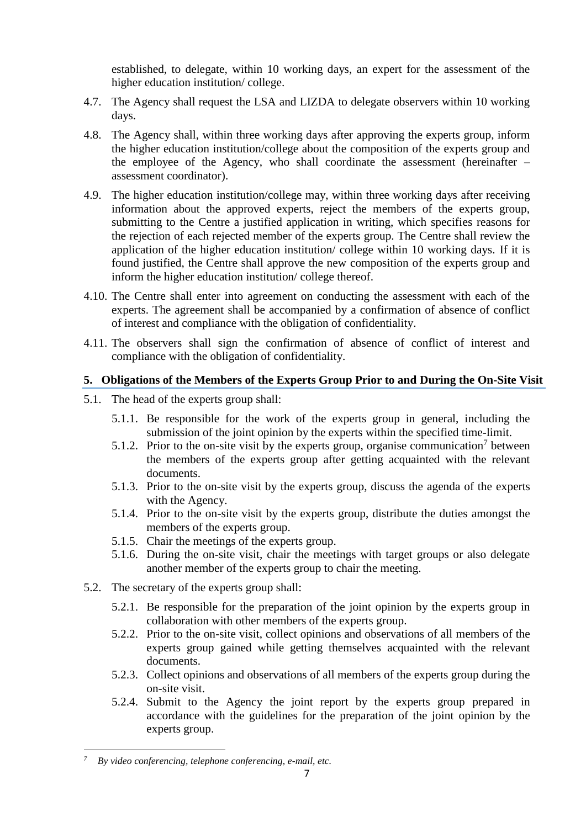established, to delegate, within 10 working days, an expert for the assessment of the higher education institution/ college.

- 4.7. The Agency shall request the LSA and LIZDA to delegate observers within 10 working days.
- 4.8. The Agency shall, within three working days after approving the experts group, inform the higher education institution/college about the composition of the experts group and the employee of the Agency, who shall coordinate the assessment (hereinafter – assessment coordinator).
- 4.9. The higher education institution/college may, within three working days after receiving information about the approved experts, reject the members of the experts group, submitting to the Centre a justified application in writing, which specifies reasons for the rejection of each rejected member of the experts group. The Centre shall review the application of the higher education institution/ college within 10 working days. If it is found justified, the Centre shall approve the new composition of the experts group and inform the higher education institution/ college thereof.
- 4.10. The Centre shall enter into agreement on conducting the assessment with each of the experts. The agreement shall be accompanied by a confirmation of absence of conflict of interest and compliance with the obligation of confidentiality.
- 4.11. The observers shall sign the confirmation of absence of conflict of interest and compliance with the obligation of confidentiality.

#### **5. Obligations of the Members of the Experts Group Prior to and During the On-Site Visit**

- 5.1. The head of the experts group shall:
	- 5.1.1. Be responsible for the work of the experts group in general, including the submission of the joint opinion by the experts within the specified time-limit.
	- 5.1.2. Prior to the on-site visit by the experts group, organise communication<sup>7</sup> between the members of the experts group after getting acquainted with the relevant documents.
	- 5.1.3. Prior to the on-site visit by the experts group, discuss the agenda of the experts with the Agency.
	- 5.1.4. Prior to the on-site visit by the experts group, distribute the duties amongst the members of the experts group.
	- 5.1.5. Chair the meetings of the experts group.
	- 5.1.6. During the on-site visit, chair the meetings with target groups or also delegate another member of the experts group to chair the meeting.
- 5.2. The secretary of the experts group shall:
	- 5.2.1. Be responsible for the preparation of the joint opinion by the experts group in collaboration with other members of the experts group.
	- 5.2.2. Prior to the on-site visit, collect opinions and observations of all members of the experts group gained while getting themselves acquainted with the relevant documents.
	- 5.2.3. Collect opinions and observations of all members of the experts group during the on-site visit.
	- 5.2.4. Submit to the Agency the joint report by the experts group prepared in accordance with the guidelines for the preparation of the joint opinion by the experts group.

 $\overline{a}$ 

*<sup>7</sup> By video conferencing, telephone conferencing, e-mail, etc.*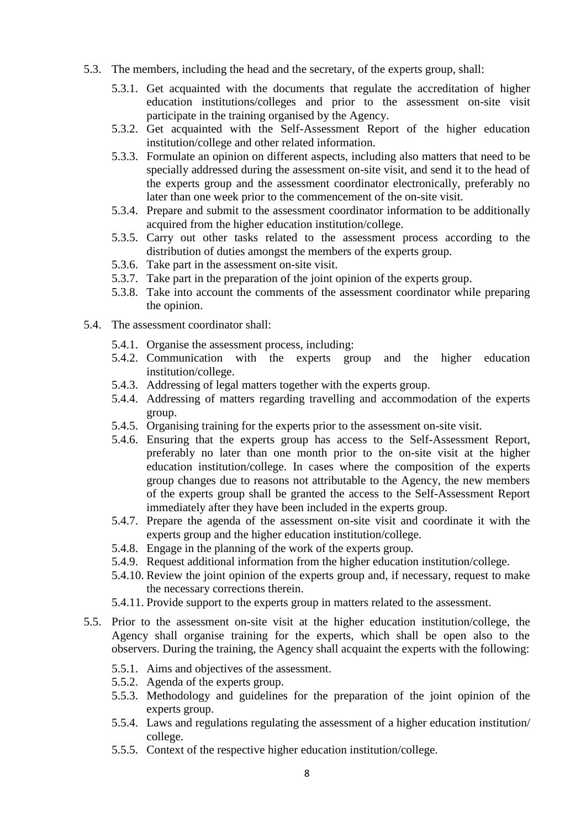- 5.3. The members, including the head and the secretary, of the experts group, shall:
	- 5.3.1. Get acquainted with the documents that regulate the accreditation of higher education institutions/colleges and prior to the assessment on-site visit participate in the training organised by the Agency.
	- 5.3.2. Get acquainted with the Self-Assessment Report of the higher education institution/college and other related information.
	- 5.3.3. Formulate an opinion on different aspects, including also matters that need to be specially addressed during the assessment on-site visit, and send it to the head of the experts group and the assessment coordinator electronically, preferably no later than one week prior to the commencement of the on-site visit.
	- 5.3.4. Prepare and submit to the assessment coordinator information to be additionally acquired from the higher education institution/college.
	- 5.3.5. Carry out other tasks related to the assessment process according to the distribution of duties amongst the members of the experts group.
	- 5.3.6. Take part in the assessment on-site visit.
	- 5.3.7. Take part in the preparation of the joint opinion of the experts group.
	- 5.3.8. Take into account the comments of the assessment coordinator while preparing the opinion.
- 5.4. The assessment coordinator shall:
	- 5.4.1. Organise the assessment process, including:
	- 5.4.2. Communication with the experts group and the higher education institution/college.
	- 5.4.3. Addressing of legal matters together with the experts group.
	- 5.4.4. Addressing of matters regarding travelling and accommodation of the experts group.
	- 5.4.5. Organising training for the experts prior to the assessment on-site visit.
	- 5.4.6. Ensuring that the experts group has access to the Self-Assessment Report, preferably no later than one month prior to the on-site visit at the higher education institution/college. In cases where the composition of the experts group changes due to reasons not attributable to the Agency, the new members of the experts group shall be granted the access to the Self-Assessment Report immediately after they have been included in the experts group.
	- 5.4.7. Prepare the agenda of the assessment on-site visit and coordinate it with the experts group and the higher education institution/college.
	- 5.4.8. Engage in the planning of the work of the experts group.
	- 5.4.9. Request additional information from the higher education institution/college.
	- 5.4.10. Review the joint opinion of the experts group and, if necessary, request to make the necessary corrections therein.
	- 5.4.11. Provide support to the experts group in matters related to the assessment.
- 5.5. Prior to the assessment on-site visit at the higher education institution/college, the Agency shall organise training for the experts, which shall be open also to the observers. During the training, the Agency shall acquaint the experts with the following:
	- 5.5.1. Aims and objectives of the assessment.
	- 5.5.2. Agenda of the experts group.
	- 5.5.3. Methodology and guidelines for the preparation of the joint opinion of the experts group.
	- 5.5.4. Laws and regulations regulating the assessment of a higher education institution/ college.
	- 5.5.5. Context of the respective higher education institution/college.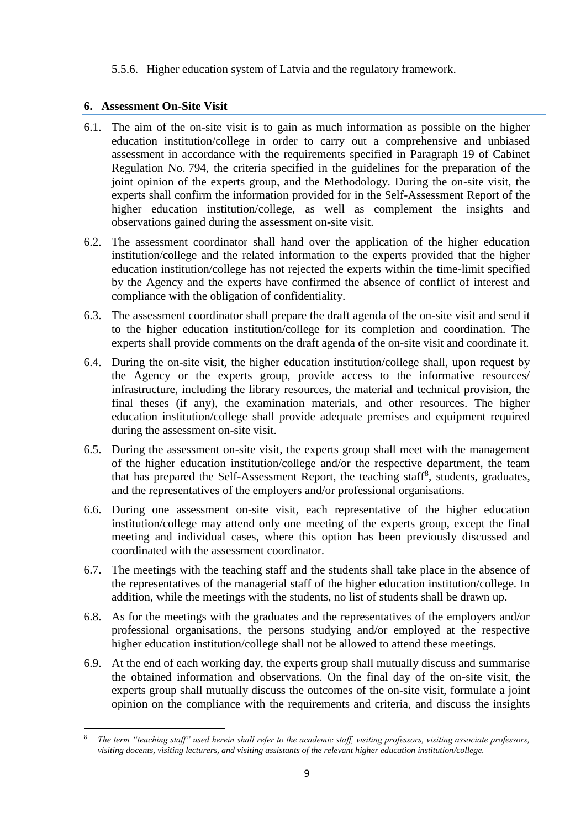#### 5.5.6. Higher education system of Latvia and the regulatory framework.

#### **6. Assessment On-Site Visit**

1

- 6.1. The aim of the on-site visit is to gain as much information as possible on the higher education institution/college in order to carry out a comprehensive and unbiased assessment in accordance with the requirements specified in Paragraph 19 of Cabinet Regulation No. 794, the criteria specified in the guidelines for the preparation of the joint opinion of the experts group, and the Methodology. During the on-site visit, the experts shall confirm the information provided for in the Self-Assessment Report of the higher education institution/college, as well as complement the insights and observations gained during the assessment on-site visit.
- 6.2. The assessment coordinator shall hand over the application of the higher education institution/college and the related information to the experts provided that the higher education institution/college has not rejected the experts within the time-limit specified by the Agency and the experts have confirmed the absence of conflict of interest and compliance with the obligation of confidentiality.
- 6.3. The assessment coordinator shall prepare the draft agenda of the on-site visit and send it to the higher education institution/college for its completion and coordination. The experts shall provide comments on the draft agenda of the on-site visit and coordinate it.
- 6.4. During the on-site visit, the higher education institution/college shall, upon request by the Agency or the experts group, provide access to the informative resources/ infrastructure, including the library resources, the material and technical provision, the final theses (if any), the examination materials, and other resources. The higher education institution/college shall provide adequate premises and equipment required during the assessment on-site visit.
- 6.5. During the assessment on-site visit, the experts group shall meet with the management of the higher education institution/college and/or the respective department, the team that has prepared the Self-Assessment Report, the teaching staff<sup>8</sup>, students, graduates, and the representatives of the employers and/or professional organisations.
- 6.6. During one assessment on-site visit, each representative of the higher education institution/college may attend only one meeting of the experts group, except the final meeting and individual cases, where this option has been previously discussed and coordinated with the assessment coordinator.
- 6.7. The meetings with the teaching staff and the students shall take place in the absence of the representatives of the managerial staff of the higher education institution/college. In addition, while the meetings with the students, no list of students shall be drawn up.
- 6.8. As for the meetings with the graduates and the representatives of the employers and/or professional organisations, the persons studying and/or employed at the respective higher education institution/college shall not be allowed to attend these meetings.
- 6.9. At the end of each working day, the experts group shall mutually discuss and summarise the obtained information and observations. On the final day of the on-site visit, the experts group shall mutually discuss the outcomes of the on-site visit, formulate a joint opinion on the compliance with the requirements and criteria, and discuss the insights

<sup>8</sup> *The term "teaching staff" used herein shall refer to the academic staff, visiting professors, visiting associate professors, visiting docents, visiting lecturers, and visiting assistants of the relevant higher education institution/college.*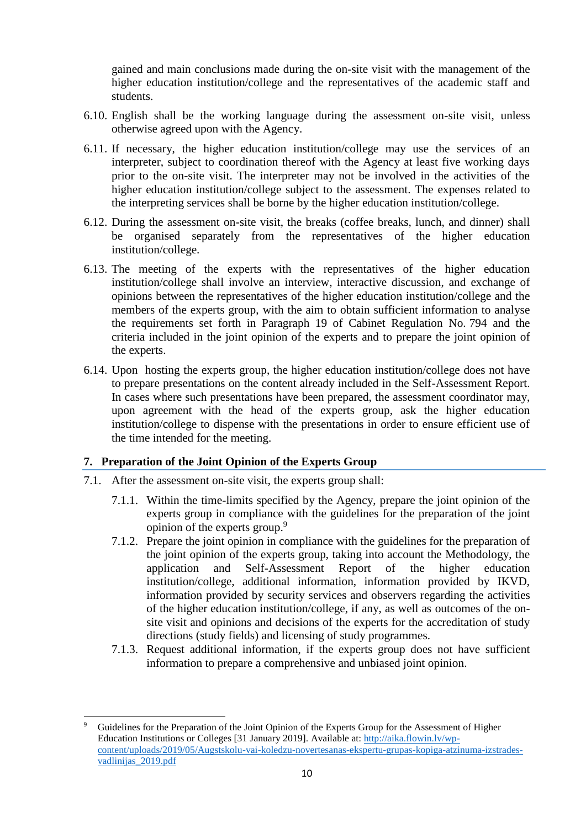gained and main conclusions made during the on-site visit with the management of the higher education institution/college and the representatives of the academic staff and students.

- 6.10. English shall be the working language during the assessment on-site visit, unless otherwise agreed upon with the Agency.
- 6.11. If necessary, the higher education institution/college may use the services of an interpreter, subject to coordination thereof with the Agency at least five working days prior to the on-site visit. The interpreter may not be involved in the activities of the higher education institution/college subject to the assessment. The expenses related to the interpreting services shall be borne by the higher education institution/college.
- 6.12. During the assessment on-site visit, the breaks (coffee breaks, lunch, and dinner) shall be organised separately from the representatives of the higher education institution/college.
- 6.13. The meeting of the experts with the representatives of the higher education institution/college shall involve an interview, interactive discussion, and exchange of opinions between the representatives of the higher education institution/college and the members of the experts group, with the aim to obtain sufficient information to analyse the requirements set forth in Paragraph 19 of Cabinet Regulation No. 794 and the criteria included in the joint opinion of the experts and to prepare the joint opinion of the experts.
- 6.14. Upon hosting the experts group, the higher education institution/college does not have to prepare presentations on the content already included in the Self-Assessment Report. In cases where such presentations have been prepared, the assessment coordinator may, upon agreement with the head of the experts group, ask the higher education institution/college to dispense with the presentations in order to ensure efficient use of the time intended for the meeting.

#### **7. Preparation of the Joint Opinion of the Experts Group**

7.1. After the assessment on-site visit, the experts group shall:

1

- 7.1.1. Within the time-limits specified by the Agency, prepare the joint opinion of the experts group in compliance with the guidelines for the preparation of the joint opinion of the experts group.<sup>9</sup>
- 7.1.2. Prepare the joint opinion in compliance with the guidelines for the preparation of the joint opinion of the experts group, taking into account the Methodology, the application and Self-Assessment Report of the higher education institution/college, additional information, information provided by IKVD, information provided by security services and observers regarding the activities of the higher education institution/college, if any, as well as outcomes of the onsite visit and opinions and decisions of the experts for the accreditation of study directions (study fields) and licensing of study programmes.
- 7.1.3. Request additional information, if the experts group does not have sufficient information to prepare a comprehensive and unbiased joint opinion.

<sup>9</sup> Guidelines for the Preparation of the Joint Opinion of the Experts Group for the Assessment of Higher Education Institutions or Colleges [31 January 2019]. Available at: [http://aika.flowin.lv/wp](http://aika.flowin.lv/wp-content/uploads/2019/05/Augstskolu-vai-koledzu-novertesanas-ekspertu-grupas-kopiga-atzinuma-izstrades-vadlinijas_2019.pdf)[content/uploads/2019/05/Augstskolu-vai-koledzu-novertesanas-ekspertu-grupas-kopiga-atzinuma-izstrades](http://aika.flowin.lv/wp-content/uploads/2019/05/Augstskolu-vai-koledzu-novertesanas-ekspertu-grupas-kopiga-atzinuma-izstrades-vadlinijas_2019.pdf)vadlinijas<sup>2019.pdf</sup>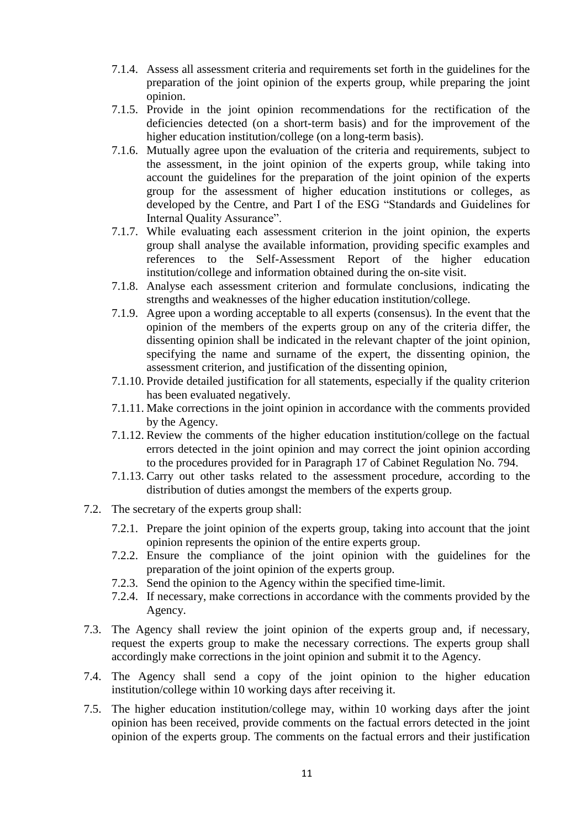- 7.1.4. Assess all assessment criteria and requirements set forth in the guidelines for the preparation of the joint opinion of the experts group, while preparing the joint opinion.
- 7.1.5. Provide in the joint opinion recommendations for the rectification of the deficiencies detected (on a short-term basis) and for the improvement of the higher education institution/college (on a long-term basis).
- 7.1.6. Mutually agree upon the evaluation of the criteria and requirements, subject to the assessment, in the joint opinion of the experts group, while taking into account the guidelines for the preparation of the joint opinion of the experts group for the assessment of higher education institutions or colleges, as developed by the Centre, and Part I of the ESG "Standards and Guidelines for Internal Quality Assurance".
- 7.1.7. While evaluating each assessment criterion in the joint opinion, the experts group shall analyse the available information, providing specific examples and references to the Self-Assessment Report of the higher education institution/college and information obtained during the on-site visit.
- 7.1.8. Analyse each assessment criterion and formulate conclusions, indicating the strengths and weaknesses of the higher education institution/college.
- 7.1.9. Agree upon a wording acceptable to all experts (consensus)*.* In the event that the opinion of the members of the experts group on any of the criteria differ, the dissenting opinion shall be indicated in the relevant chapter of the joint opinion, specifying the name and surname of the expert, the dissenting opinion, the assessment criterion, and justification of the dissenting opinion,
- 7.1.10. Provide detailed justification for all statements, especially if the quality criterion has been evaluated negatively.
- 7.1.11. Make corrections in the joint opinion in accordance with the comments provided by the Agency.
- 7.1.12. Review the comments of the higher education institution/college on the factual errors detected in the joint opinion and may correct the joint opinion according to the procedures provided for in Paragraph 17 of Cabinet Regulation No. 794.
- 7.1.13. Carry out other tasks related to the assessment procedure, according to the distribution of duties amongst the members of the experts group.
- 7.2. The secretary of the experts group shall:
	- 7.2.1. Prepare the joint opinion of the experts group, taking into account that the joint opinion represents the opinion of the entire experts group.
	- 7.2.2. Ensure the compliance of the joint opinion with the guidelines for the preparation of the joint opinion of the experts group.
	- 7.2.3. Send the opinion to the Agency within the specified time-limit.
	- 7.2.4. If necessary, make corrections in accordance with the comments provided by the Agency.
- 7.3. The Agency shall review the joint opinion of the experts group and, if necessary, request the experts group to make the necessary corrections. The experts group shall accordingly make corrections in the joint opinion and submit it to the Agency.
- 7.4. The Agency shall send a copy of the joint opinion to the higher education institution/college within 10 working days after receiving it.
- 7.5. The higher education institution/college may, within 10 working days after the joint opinion has been received, provide comments on the factual errors detected in the joint opinion of the experts group. The comments on the factual errors and their justification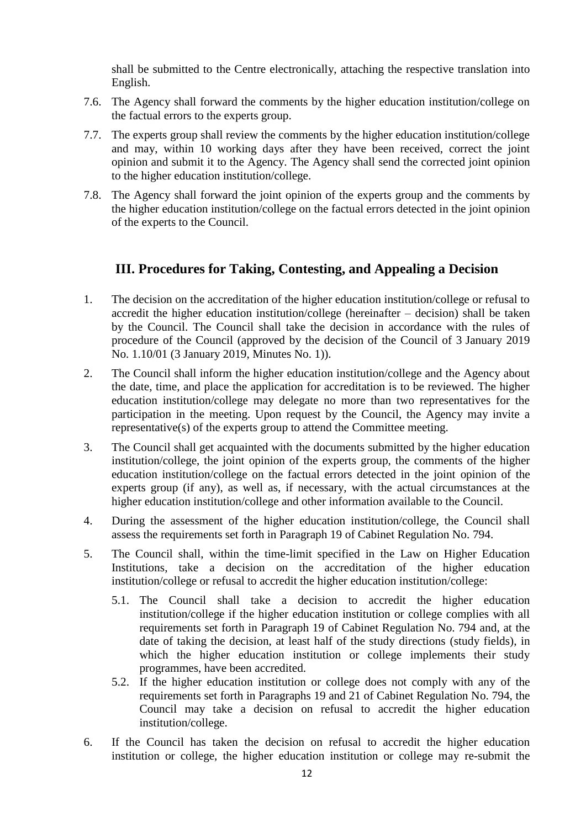shall be submitted to the Centre electronically, attaching the respective translation into English.

- 7.6. The Agency shall forward the comments by the higher education institution/college on the factual errors to the experts group.
- 7.7. The experts group shall review the comments by the higher education institution/college and may, within 10 working days after they have been received, correct the joint opinion and submit it to the Agency. The Agency shall send the corrected joint opinion to the higher education institution/college.
- 7.8. The Agency shall forward the joint opinion of the experts group and the comments by the higher education institution/college on the factual errors detected in the joint opinion of the experts to the Council.

# <span id="page-11-0"></span>**III. Procedures for Taking, Contesting, and Appealing a Decision**

- 1. The decision on the accreditation of the higher education institution/college or refusal to accredit the higher education institution/college (hereinafter – decision) shall be taken by the Council. The Council shall take the decision in accordance with the rules of procedure of the Council (approved by the decision of the Council of 3 January 2019 No. 1.10/01 (3 January 2019, Minutes No. 1)).
- 2. The Council shall inform the higher education institution/college and the Agency about the date, time, and place the application for accreditation is to be reviewed. The higher education institution/college may delegate no more than two representatives for the participation in the meeting. Upon request by the Council, the Agency may invite a representative(s) of the experts group to attend the Committee meeting.
- 3. The Council shall get acquainted with the documents submitted by the higher education institution/college, the joint opinion of the experts group, the comments of the higher education institution/college on the factual errors detected in the joint opinion of the experts group (if any), as well as, if necessary, with the actual circumstances at the higher education institution/college and other information available to the Council.
- 4. During the assessment of the higher education institution/college, the Council shall assess the requirements set forth in Paragraph 19 of Cabinet Regulation No. 794.
- 5. The Council shall, within the time-limit specified in the Law on Higher Education Institutions, take a decision on the accreditation of the higher education institution/college or refusal to accredit the higher education institution/college:
	- 5.1. The Council shall take a decision to accredit the higher education institution/college if the higher education institution or college complies with all requirements set forth in Paragraph 19 of Cabinet Regulation No. 794 and, at the date of taking the decision, at least half of the study directions (study fields), in which the higher education institution or college implements their study programmes, have been accredited.
	- 5.2. If the higher education institution or college does not comply with any of the requirements set forth in Paragraphs 19 and 21 of Cabinet Regulation No. 794, the Council may take a decision on refusal to accredit the higher education institution/college.
- 6. If the Council has taken the decision on refusal to accredit the higher education institution or college, the higher education institution or college may re-submit the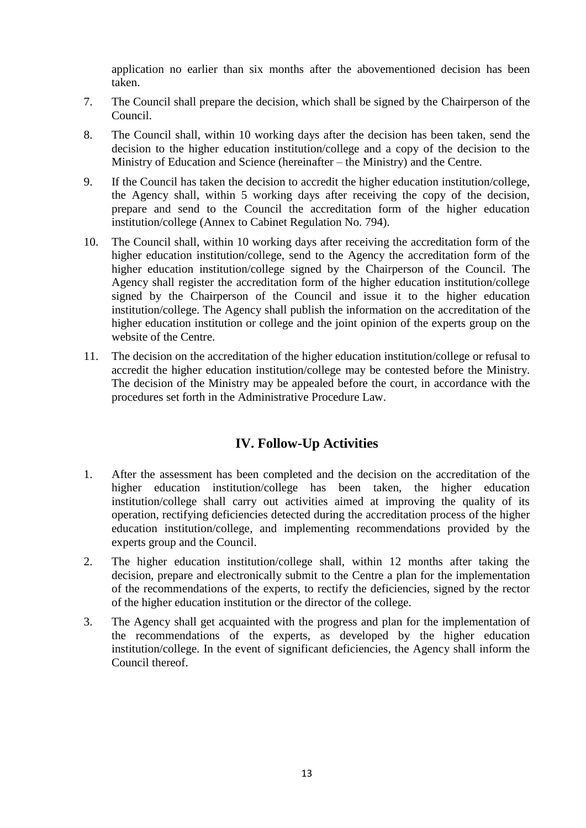application no earlier than six months after the abovementioned decision has been taken.

- 7. The Council shall prepare the decision, which shall be signed by the Chairperson of the Council.
- 8. The Council shall, within 10 working days after the decision has been taken, send the decision to the higher education institution/college and a copy of the decision to the Ministry of Education and Science (hereinafter – the Ministry) and the Centre.
- 9. If the Council has taken the decision to accredit the higher education institution/college, the Agency shall, within 5 working days after receiving the copy of the decision, prepare and send to the Council the accreditation form of the higher education institution/college (Annex to Cabinet Regulation No. 794).
- 10. The Council shall, within 10 working days after receiving the accreditation form of the higher education institution/college, send to the Agency the accreditation form of the higher education institution/college signed by the Chairperson of the Council. The Agency shall register the accreditation form of the higher education institution/college signed by the Chairperson of the Council and issue it to the higher education institution/college. The Agency shall publish the information on the accreditation of the higher education institution or college and the joint opinion of the experts group on the website of the Centre.
- 11. The decision on the accreditation of the higher education institution/college or refusal to accredit the higher education institution/college may be contested before the Ministry. The decision of the Ministry may be appealed before the court, in accordance with the procedures set forth in the Administrative Procedure Law.

# **IV. Follow-Up Activities**

- <span id="page-12-0"></span>1. After the assessment has been completed and the decision on the accreditation of the higher education institution/college has been taken, the higher education institution/college shall carry out activities aimed at improving the quality of its operation, rectifying deficiencies detected during the accreditation process of the higher education institution/college, and implementing recommendations provided by the experts group and the Council.
- 2. The higher education institution/college shall, within 12 months after taking the decision, prepare and electronically submit to the Centre a plan for the implementation of the recommendations of the experts, to rectify the deficiencies, signed by the rector of the higher education institution or the director of the college.
- 3. The Agency shall get acquainted with the progress and plan for the implementation of the recommendations of the experts, as developed by the higher education institution/college. In the event of significant deficiencies, the Agency shall inform the Council thereof.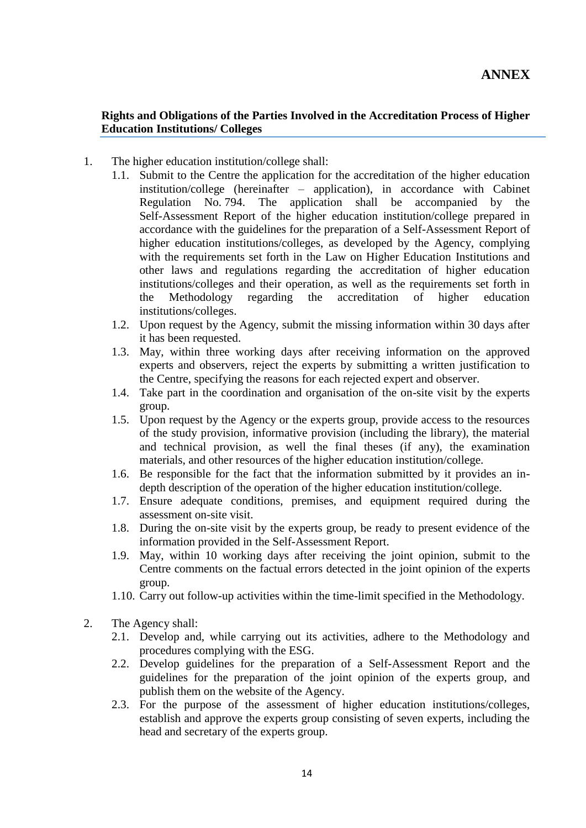#### **Rights and Obligations of the Parties Involved in the Accreditation Process of Higher Education Institutions/ Colleges**

- 1. The higher education institution/college shall:
	- 1.1. Submit to the Centre the application for the accreditation of the higher education institution/college (hereinafter – application), in accordance with Cabinet Regulation No. 794. The application shall be accompanied by the Self-Assessment Report of the higher education institution/college prepared in accordance with the guidelines for the preparation of a Self-Assessment Report of higher education institutions/colleges, as developed by the Agency, complying with the requirements set forth in the Law on Higher Education Institutions and other laws and regulations regarding the accreditation of higher education institutions/colleges and their operation, as well as the requirements set forth in the Methodology regarding the accreditation of higher education institutions/colleges.
	- 1.2. Upon request by the Agency, submit the missing information within 30 days after it has been requested.
	- 1.3. May, within three working days after receiving information on the approved experts and observers, reject the experts by submitting a written justification to the Centre, specifying the reasons for each rejected expert and observer.
	- 1.4. Take part in the coordination and organisation of the on-site visit by the experts group.
	- 1.5. Upon request by the Agency or the experts group, provide access to the resources of the study provision, informative provision (including the library), the material and technical provision, as well the final theses (if any), the examination materials, and other resources of the higher education institution/college.
	- 1.6. Be responsible for the fact that the information submitted by it provides an indepth description of the operation of the higher education institution/college.
	- 1.7. Ensure adequate conditions, premises, and equipment required during the assessment on-site visit.
	- 1.8. During the on-site visit by the experts group, be ready to present evidence of the information provided in the Self-Assessment Report.
	- 1.9. May, within 10 working days after receiving the joint opinion, submit to the Centre comments on the factual errors detected in the joint opinion of the experts group.
	- 1.10. Carry out follow-up activities within the time-limit specified in the Methodology.
- 2. The Agency shall:
	- 2.1. Develop and, while carrying out its activities, adhere to the Methodology and procedures complying with the ESG.
	- 2.2. Develop guidelines for the preparation of a Self-Assessment Report and the guidelines for the preparation of the joint opinion of the experts group, and publish them on the website of the Agency.
	- 2.3. For the purpose of the assessment of higher education institutions/colleges, establish and approve the experts group consisting of seven experts, including the head and secretary of the experts group.